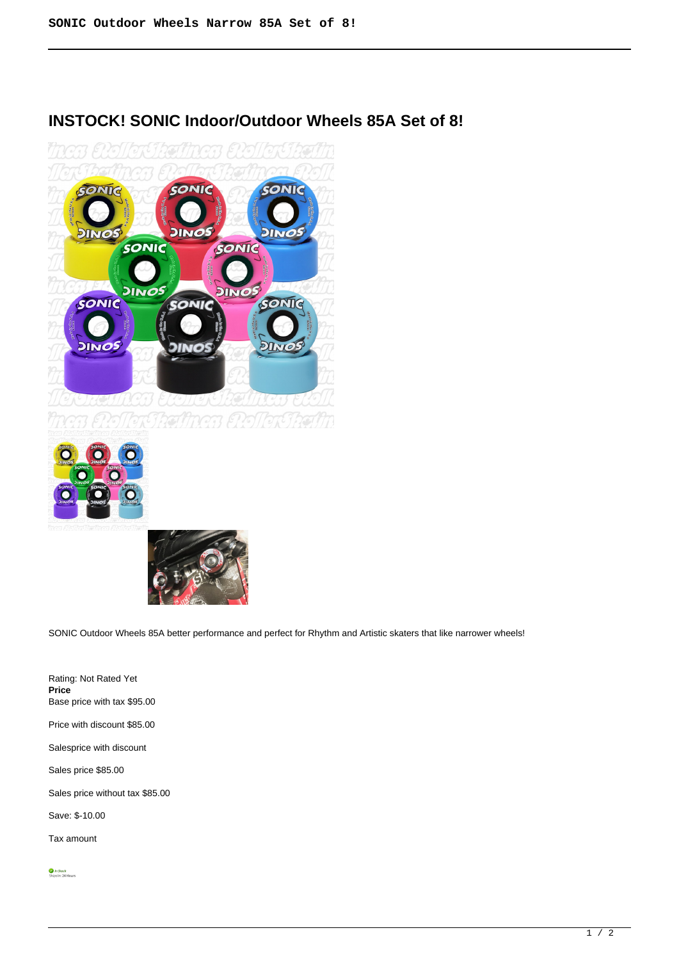

# **INSTOCK! SONIC Indoor/Outdoor Wheels 85A Set of 8!**





SONIC Outdoor Wheels 85A better performance and perfect for Rhythm and Artistic skaters that like narrower wheels!

Rating: Not Rated Yet **Price**  Base price with tax \$95.00 Price with discount \$85.00 Salesprice with discount Sales price \$85.00 Sales price without tax \$85.00 Save: \$-10.00 Tax amount

 $\bigcirc$  In Stock<br>Ships In: 24 Hours